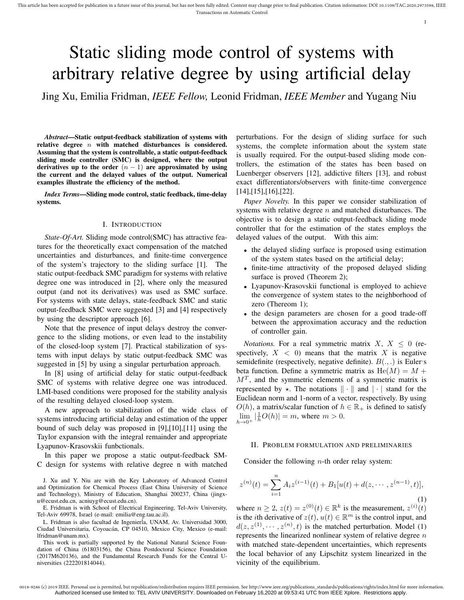# Static sliding mode control of systems with arbitrary relative degree by using artificial delay

Jing Xu, Emilia Fridman, *IEEE Fellow,* Leonid Fridman, *IEEE Member* and Yugang Niu

*Abstract*—Static output-feedback stabilization of systems with relative degree *n* with matched disturbances is considered. Assuming that the system is controllable, a static output-feedback sliding mode controller (SMC) is designed, where the output derivatives up to the order  $(n-1)$  are approximated by using the current and the delayed values of the output. Numerical examples illustrate the efficiency of the method.

*Index Terms*—Sliding mode control, static feedback, time-delay systems.

#### I. INTRODUCTION

*State-Of-Art.* Sliding mode control(SMC) has attractive features for the theoretically exact compensation of the matched uncertainties and disturbances, and finite-time convergence of the system's trajectory to the sliding surface [1]. The static output-feedback SMC paradigm for systems with relative degree one was introduced in [2], where only the measured output (and not its derivatives) was used as SMC surface. For systems with state delays, state-feedback SMC and static output-feedback SMC were suggested [3] and [4] respectively by using the descriptor approach [6].

Note that the presence of input delays destroy the convergence to the sliding motions, or even lead to the instability of the closed-loop system [7]. Practical stabilization of systems with input delays by static output-feedback SMC was suggested in [5] by using a singular perturbation approach.

In [8] using of artificial delay for static output-feedback SMC of systems with relative degree one was introduced. LMI-based conditions were proposed for the stability analysis of the resulting delayed closed-loop system.

A new approach to stabilization of the wide class of systems introducing artificial delay and estimation of the upper bound of such delay was proposed in [9],[10],[11] using the Taylor expansion with the integral remainder and appropriate Lyapunov-Krasovskii funbctionals.

In this paper we propose a static output-feedback SM-C design for systems with relative degree n with matched

J. Xu and Y. Niu are with the Key Laboratory of Advanced Control and Optimization for Chemical Process (East China University of Science and Technology), Ministry of Education, Shanghai 200237, China (jingxu@ecust.edu.cn, acniuyg@ecust.edu.cn).

E. Fridman is with School of Electrical Engineering, Tel-Aviv University, Tel-Aviv 69978, Israel (e-mail: emilia@eng.tau.ac.il).

L. Fridman is also facultad de Ingeniería, UNAM, Av. Universidad 3000, Ciudad Universitaria, Coyoacán, CP 04510, Mexico City, Mexico (e-mail: lfridman@unam.mx).

This work is partially supported by the National Natural Science Foundation of China (61803156), the China Postdoctoral Science Foundation (2017M620136), and the Fundamental Research Funds for the Central Universities (222201814044).

perturbations. For the design of sliding surface for such systems, the complete information about the system state is usually required. For the output-based sliding mode controllers, the estimation of the states has been based on Luenberger observers [12], addictive filters [13], and robust exact differentiators/observers with finite-time convergence [14],[15],[16],[22].

1

*Paper Novelty.* In this paper we consider stabilization of systems with relative degree *n* and matched disturbances. The objective is to design a static output-feedback sliding mode controller that for the estimation of the states employs the delayed values of the output. With this aim:

- the delayed sliding surface is proposed using estimation of the system states based on the artificial delay;
- finite-time attractivity of the proposed delayed sliding surface is proved (Theorem 2);
- *•* Lyapunov-Krasovskii functional is employed to achieve the convergence of system states to the neighborhood of zero (Thereom 1);
- the design parameters are chosen for a good trade-off between the approximation accuracy and the reduction of controller gain.

*Notations.* For a real symmetric matrix  $X, X \leq 0$  (respectively,  $X < 0$ ) means that the matrix X is negative semidefinite (respectively, negative definite). *B*(*., .*) is Euler*,* s beta function. Define a symmetric matrix as  $He(M) = M +$  $M<sup>T</sup>$ , and the symmetric elements of a symmetric matrix is represented by *⋆*. The notations *∥ · ∥* and *| · |* stand for the Euclidean norm and 1-norm of a vector, respectively. By using *O*(*h*), a matrix/scalar function of  $h \in \mathbb{R}_+$  is defined to satisfy lim *h→*0<sup>+</sup>  $|\frac{1}{h}O(h)| = m$ , where  $m > 0$ .

#### II. PROBLEM FORMULATION AND PRELIMINARIES

Consider the following *n*-th order relay system:

$$
z^{(n)}(t) = \sum_{i=1}^{n} A_i z^{(i-1)}(t) + B_1[u(t) + d(z, \dots, z^{(n-1)}, t)],
$$
\n(1)

where  $n \geq 2$ ,  $z(t) = z^{(0)}(t) \in \mathbb{R}^k$  is the measurement,  $z^{(i)}(t)$ is the *i*th derivative of  $z(t)$ ,  $u(t) \in \mathbb{R}^m$  is the control input, and  $d(z, z^{(1)}, \dots, z^{(n)}, t)$  is the matched perturbation. Model (1) represents the linearized nonlinear system of relative degree *n* with matched state-dependent uncertainties, which represents the local behavior of any Lipschitz system linearized in the vicinity of the equilibrium.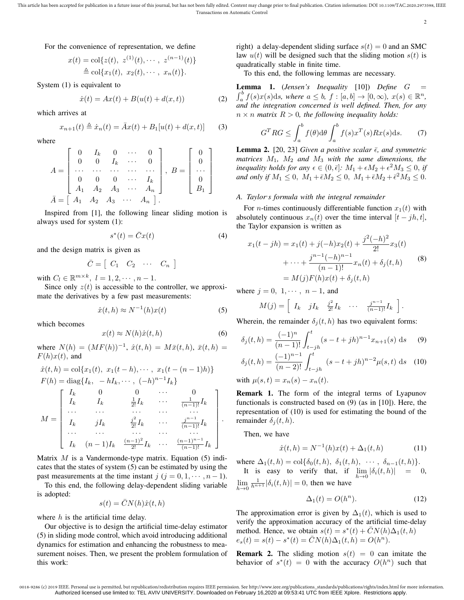2

For the convenience of representation, we define

$$
x(t) = \text{col}\{z(t), z^{(1)}(t), \cdots, z^{(n-1)}(t)\}\
$$

$$
\triangleq \text{col}\{x_1(t), x_2(t), \cdots, x_n(t)\}.
$$

System (1) is equivalent to

$$
\dot{x}(t) = Ax(t) + B(u(t) + d(x, t))
$$
 (2)

which arrives at

$$
x_{n+1}(t) \triangleq \dot{x}_n(t) = \bar{A}x(t) + B_1[u(t) + d(x, t)] \tag{3}
$$

where

$$
A = \begin{bmatrix} 0 & I_k & 0 & \cdots & 0 \\ 0 & 0 & I_k & \cdots & 0 \\ \cdots & \cdots & \cdots & \cdots & \cdots \\ 0 & 0 & 0 & \cdots & I_k \\ A_1 & A_2 & A_3 & \cdots & A_n \end{bmatrix}, B = \begin{bmatrix} 0 \\ 0 \\ \cdots \\ 0 \\ B_1 \end{bmatrix}
$$

$$
\bar{A} = \begin{bmatrix} A_1 & A_2 & A_3 & \cdots & A_n \end{bmatrix}.
$$

Inspired from [1], the following linear sliding motion is always used for system (1):

$$
s^*(t) = \bar{C}x(t) \tag{4}
$$

and the design matrix is given as

$$
\bar{C} = \left[ \begin{array}{cccc} C_1 & C_2 & \cdots & C_n \end{array} \right]
$$

 $\text{with } C_l \in \mathbb{R}^{m \times k}, \ l = 1, 2, \dots, n - 1.$ 

Since only  $z(t)$  is accessible to the controller, we approximate the derivatives by a few past measurements:

$$
\hat{x}(t,h) \approx N^{-1}(h)x(t) \tag{5}
$$

 $x(t) \approx N(h)\hat{x}(t, h)$  (6)

which becomes

 $N(h) = (MF(h))^{-1}, \ \hat{x}(t, h) = M\bar{x}(t, h), \ \bar{x}(t, h) =$  $F(h)x(t)$ , and

$$
\hat{x}(t, h) = \text{col}\{x_1(t), x_1(t-h), \cdots, x_1(t-(n-1)h)\}
$$
\n
$$
F(h) = \text{diag}\{I_k, -hI_k, \cdots, (-h)^{n-1}I_k\}
$$
\n
$$
M = \begin{bmatrix}\nI_k & 0 & 0 & \cdots & 0 \\
I_k & I_k & \frac{1}{2!}I_k & \cdots & \frac{1}{(n-1)!}I_k \\
\cdots & \cdots & \cdots & \cdots & \cdots \\
I_k & jI_k & \frac{j^2}{2!}I_k & \cdots & \frac{j^{n-1}}{(n-1)!}I_k \\
\cdots & \cdots & \cdots & \cdots & \cdots \\
I_k & (n-1)I_k & \frac{(n-1)^2}{2!}I_k & \cdots & \frac{(n-1)^{n-1}}{(n-1)!}I_k\n\end{bmatrix}.
$$

Matrix *M* is a Vandermonde-type matrix. Equation (5) indicates that the states of system (5) can be estimated by using the past measurements at the time instant  $j$  ( $j = 0, 1, \dots, n-1$ ).

To this end, the following delay-dependent sliding variable is adopted:

$$
s(t) = \bar{C}N(h)\hat{x}(t,h)
$$

where *h* is the artificial time delay.

Our objective is to design the artificial time-delay estimator (5) in sliding mode control, which avoid introducing additional dynamics for estimation and enhancing the robustness to measurement noises. Then, we present the problem formulation of this work:

right) a delay-dependent sliding surface  $s(t) = 0$  and an SMC law  $u(t)$  will be designed such that the sliding motion  $s(t)$  is quadratically stable in finite time.

To this end, the following lemmas are necessary.

**Lemma 1.** (*Jensen's Inequality* [10]) *Define*  $G =$  $a^b$   $f(s)x(s)ds$ , where  $a \leq b$ ,  $f : [a, b] \to [0, \infty)$ ,  $x(s) \in \mathbb{R}^n$ , *and the integration concerned is well defined. Then, for any*  $n \times n$  *matrix*  $R > 0$ *, the following inequality holds:* 

$$
GTRG \le \int_a^b f(\theta) d\theta \int_a^b f(s)xT(s)Rx(s)ds.
$$
 (7)

**Lemma 2.** [20, 23] *Given a positive scalar*  $\bar{\epsilon}$ *, and symmetric matrices M*1*, M*<sup>2</sup> *and M*<sup>3</sup> *with the same dimensions, the inequality holds for any*  $\epsilon \in (0, \bar{\epsilon}]$ *:*  $M_1 + \epsilon M_2 + \epsilon^2 M_3 \leq 0$ , *if and only if*  $M_1 \leq 0$ ,  $M_1 + \bar{\epsilon}M_2 \leq 0$ ,  $M_1 + \bar{\epsilon}M_2 + \bar{\epsilon}^2M_3 \leq 0$ .

## *A. Taylor, s formula with the integral remainder*

For *n*-times continuously differentiable function  $x_1(t)$  with absolutely continuous  $x_n(t)$  over the time interval  $[t - jh, t]$ , the Taylor expansion is written as

$$
x_1(t - jh) = x_1(t) + j(-h)x_2(t) + \frac{j^2(-h)^2}{2!}x_3(t)
$$
  
+ ... + 
$$
\frac{j^{n-1}(-h)^{n-1}}{(n-1)!}x_n(t) + \delta_j(t, h)
$$
  
=  $M(j)F(h)x(t) + \delta_j(t, h)$  (8)

where  $j = 0, 1, \cdots, n-1$ , and

$$
M(j) = \left[ I_k \quad jI_k \quad \frac{j^2}{2!}I_k \quad \cdots \quad \frac{j^{n-1}}{(n-1)!}I_k \right].
$$

Wherein, the remainder  $\delta_i(t, h)$  has two equivalent forms:

$$
\delta_j(t, h) = \frac{(-1)^n}{(n-1)!} \int_{t-jh}^t (s - t + jh)^{n-1} x_{n+1}(s) \, ds \tag{9}
$$

$$
\delta_j(t, h) = \frac{(-1)^{n-1}}{(n-2)!} \int_{t-jh}^t (s - t + jh)^{n-2} \mu(s, t) \, ds \tag{10}
$$

with  $\mu(s, t) = x_n(s) - x_n(t)$ .

Remark 1. The form of the integral terms of Lyapunov functionals is constructed based on (9) (as in [10]). Here, the representation of (10) is used for estimating the bound of the remainder  $\delta_i(t, h)$ .

Then, we have

$$
\hat{x}(t,h) = N^{-1}(h)x(t) + \Delta_1(t,h)
$$
\n(11)

where  $\Delta_1(t, h) = \text{col}\{\delta_0(t, h), \delta_1(t, h), \cdots, \delta_{n-1}(t, h)\}.$ It is easy to verify that, if  $\lim_{h\to 0} |\delta_i(t, h)| = 0$ ,

lim *h→*0  $\frac{1}{h^{n+1}}|\delta_i(t, h)| = 0$ , then we have

$$
\Delta_1(t) = O(h^n). \tag{12}
$$

The approximation error is given by  $\Delta_1(t)$ , which is used to verify the approximation accuracy of the artificial time-delay method. Hence, we obtain  $s(t) = s^*(t) + \overline{C}N(h)\Delta_1(t, h)$  $e_s(t) = s(t) - s^*(t) = \bar{C}N(h)\Delta_1(t, h) = O(h^n).$ 

**Remark 2.** The sliding motion  $s(t) = 0$  can imitate the behavior of  $s^*(t) = 0$  with the accuracy  $O(h^n)$  such that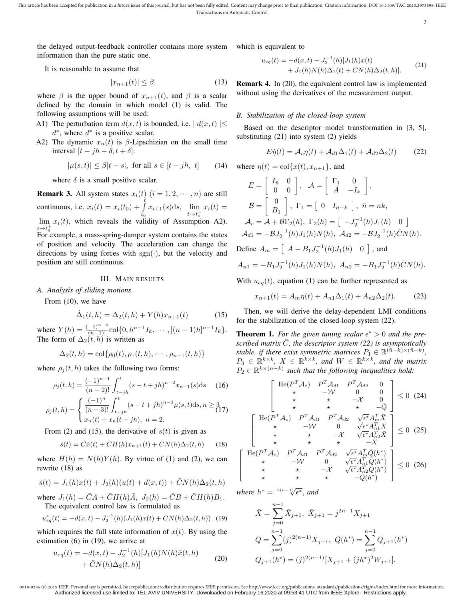This article has been accepted for publication in a future issue of this journal, but has not been fully edited. Content may change prior to final publication. Citation information: DOI 10.1109/TAC.2020.2973598, IEEE Transactions on Automatic Control

3

the delayed output-feedback controller contains more system information than the pure static one.

It is reasonable to assume that

$$
|x_{n+1}(t)| \le \beta \tag{13}
$$

where  $\beta$  is the upper bound of  $x_{n+1}(t)$ , and  $\beta$  is a scalar defined by the domain in which model (1) is valid. The following assumptions will be used:

- A1) The perturbation term  $d(x, t)$  is bounded, i.e.  $| d(x, t) | \le$ *d ∗* , where *d ∗* is a positive scalar.
- A2) The dynamic  $x_n(t)$  is  $\beta$ -Lipschizian on the small time interval  $[t - jh - \delta, t + \delta]$ :

$$
|\mu(s,t)| \le \beta |t-s|, \text{ for all } s \in [t-jh, t] \qquad (14)
$$

where  $\delta$  is a small positive scalar.

**Remark 3.** All system states  $x_i(t)$   $(i = 1, 2, \dots, n)$  are still continuous, i.e.  $x_i(t) = x_i(t_0) + \int_0^t$ *t*0  $x_{i+1}(s)ds$ , lim *t→t −* 0  $x_i(t) =$  $\lim x_i(t)$ , which reveals the validity of Assumption A2).  $t \rightarrow t_0^+$ For example, a mass-spring-damper system contains the states of position and velocity. The acceleration can change the

directions by using forces with  $sgn(\cdot)$ , but the velocity and position are still continuous.

## III. MAIN RESULTS

*A. Analysis of sliding motions*

From (10), we have

$$
\dot{\Delta}_1(t, h) = \Delta_2(t, h) + Y(h)x_{n+1}(t)
$$
\n(15)

where  $Y(h) = \frac{(-1)^{n-2}}{(n-1)!} \text{col}\{0, h^{n-1}I_k, \cdots, [(n-1)h]^{n-1}I_k\}.$ The form of  $\Delta_2(t, h)$  is written as

$$
\Delta_2(t, h) = \text{col}\{\rho_0(t), \rho_1(t, h), \cdots, \rho_{n-1}(t, h)\}
$$

where  $\rho_j(t, h)$  takes the following two forms:

$$
\rho_j(t, h) = \frac{(-1)^{n+1}}{(n-2)!} \int_{t-jh}^t (s - t + jh)^{n-2} x_{n+1}(s) \, \mathrm{d}s \tag{16}
$$

$$
\rho_j(t, h) = \begin{cases}\n\frac{(-1)^n}{(n-3)!} \int_{t-jh}^t (s-t+jh)^{n-3} \mu(s, t) \, ds, n \geq \frac{3}{(17)} \\
x_n(t) - x_n(t-jh), n = 2.\n\end{cases}
$$

From (2) and (15), the derivative of  $s(t)$  is given as

$$
\dot{s}(t) = \bar{C}\dot{x}(t) + \bar{C}H(h)x_{n+1}(t) + \bar{C}N(h)\Delta_2(t, h)
$$
 (18)

where  $H(h) = N(h)Y(h)$ . By virtue of (1) and (2), we can rewrite (18) as

$$
\dot{s}(t) = J_1(h)x(t) + J_2(h)(u(t) + d(x, t)) + \bar{C}N(h)\Delta_2(t, h)
$$

where  $J_1(h) = \bar{C}A + \bar{C}H(h)\bar{A}$ ,  $J_2(h) = \bar{C}B + \bar{C}H(h)B_1$ . The equivalent control law is formulated as

$$
u_{eq}^*(t) = -d(x,t) - J_2^{-1}(h)(J_1(h)x(t) + \bar{C}N(h)\Delta_2(t,h))
$$
 (19)

which requires the full state information of  $x(t)$ . By using the estimation (6) in (19), we arrive at

$$
u_{eq}(t) = -d(x, t) - J_2^{-1}(h)[J_1(h)N(h)\hat{x}(t, h) + \bar{C}N(h)\Delta_2(t, h)]
$$
\n(20)

which is equivalent to

$$
u_{eq}(t) = -d(x,t) - J_2^{-1}(h)[J_1(h)x(t) + J_1(h)N(h)\Delta_1(t) + \bar{C}N(h)\Delta_2(t,h)].
$$
 (21)

Remark 4. In (20), the equivalent control law is implemented without using the derivatives of the measurement output.

#### *B. Stabilization of the closed-loop system*

Based on the descriptor model transformation in [3, 5], substituting (21) into system (2) yields

$$
E\dot{\eta}(t) = \mathcal{A}_c\eta(t) + \mathcal{A}_{d1}\Delta_1(t) + \mathcal{A}_{d2}\Delta_2(t) \tag{22}
$$

where 
$$
\eta(t) = \text{col}\lbrace x(t), x_{n+1} \rbrace
$$
, and

$$
E = \begin{bmatrix} I_{\bar{n}} & 0 \\ 0 & 0 \end{bmatrix}, \quad \mathcal{A} = \begin{bmatrix} \Gamma_1 & 0 \\ \bar{A} & -I_k \end{bmatrix},
$$
  
\n
$$
\mathcal{B} = \begin{bmatrix} 0 \\ B_1 \end{bmatrix}, \quad \Gamma_1 = \begin{bmatrix} 0 & I_{\bar{n}-k} \end{bmatrix}, \quad \bar{n} = nk,
$$
  
\n
$$
\mathcal{A}_c = \mathcal{A} + \mathcal{B}\Gamma_2(h), \quad \Gamma_2(h) = \begin{bmatrix} -J_2^{-1}(h)J_1(h) & 0 \end{bmatrix}
$$
  
\n
$$
\mathcal{A}_{d1} = -\mathcal{B}J_2^{-1}(h)J_1(h)N(h), \quad \mathcal{A}_{d2} = -\mathcal{B}J_2^{-1}(h)\bar{C}N(h).
$$

Define  $A_m = \begin{bmatrix} \bar{A} - B_1 J_2^{-1}(h) J_1(h) & 0 \end{bmatrix}$ , and  $A_{n1} = -B_1 J_2^{-1}(h) J_1(h) N(h), A_{n2} = -B_1 J_2^{-1}(h) \bar{C} N(h).$ 

With  $u_{eq}(t)$ , equation (1) can be further represented as

$$
x_{n+1}(t) = A_m \eta(t) + A_{n1} \Delta_1(t) + A_{n2} \Delta_2(t).
$$
 (23)

Then, we will derive the delay-dependent LMI conditions for the stabilization of the closed-loop system (22).

**Theorem 1.** For the given tuning scalar  $\epsilon^* > 0$  and the pre*scribed matrix*  $\overline{C}$ *, the descriptor system (22) is asymptotically stable, if there exist symmetric matrices*  $P_1 \in \mathbb{R}^{(\bar{n}-k)\times(\bar{n}-k)}$ ,  $P_3 \in \mathbb{R}^{k \times k}$ ,  $X \in \mathbb{R}^{k \times k}$ , and  $W \in \mathbb{R}^{k \times k}$ , and the matrix  $P_2 \in \mathbb{R}^{k \times (\bar{n}-k)}$  such that the following inequalities hold:

$$
\begin{bmatrix}\n\text{He}(P^T \mathcal{A}_c) & P^T \mathcal{A}_{d1} & P^T \mathcal{A}_{d2} & 0 \\
\star & -\mathcal{W} & 0 & 0 \\
\star & \star & \star & -\mathcal{X} & 0 \\
\star & \star & \star & -\overline{Q} & \end{bmatrix} \leq 0 \quad (24)
$$
\n
$$
\begin{bmatrix}\n\text{He}(P^T \mathcal{A}_c) & P^T \mathcal{A}_{d1} & P^T \mathcal{A}_{d2} & \sqrt{\epsilon^*} A_m^T \overline{X} \\
\star & -\mathcal{W} & 0 & \sqrt{\epsilon^*} A_{n1}^T \overline{X} \\
\star & \star & -\mathcal{X} & \sqrt{\epsilon^*} A_{n2}^T \overline{X} \\
\star & \star & \star & -\overline{X} & \end{bmatrix} \leq 0 \quad (25)
$$

$$
\begin{bmatrix}\n\text{He}(P^T \mathcal{A}_c) & P^T \mathcal{A}_{d1} & P^T \mathcal{A}_{d2} & \sqrt{\epsilon^*} A_m^T \bar{Q}(h^*) \\
\star & -\mathcal{W} & 0 & \sqrt{\epsilon^*} A_m^T \bar{Q}(h^*) \\
\star & \star & -\mathcal{X} & \sqrt{\epsilon^*} A_m^T \bar{Q}(h^*) \\
\star & \star & \star & -\bar{Q}(h^*)\n\end{bmatrix} \leq 0 \tag{26}
$$

 $where h^* = \sqrt[2(n-1)]{\epsilon^*}, and$ 

$$
\bar{X} = \sum_{j=0}^{n-1} \bar{X}_{j+1}, \ \bar{X}_{j+1} = j^{2n-1} X_{j+1}
$$
\n
$$
\bar{Q} = \sum_{j=0}^{n-1} (j)^{2(n-1)} X_{j+1}, \ \bar{Q}(h^*) = \sum_{j=0}^{n-1} Q_{j+1}(h^*)
$$
\n
$$
Q_{j+1}(h^*) = (j)^{2(n-1)} [X_{j+1} + (jh^*)^2 W_{j+1}].
$$

<sup>0018-9286 (</sup>c) 2019 IEEE. Personal use is permitted, but republication/redistribution requires IEEE permission. See http://www.ieee.org/publications\_standards/publications/rights/index.html for more information. Authorized licensed use limited to: TEL AVIV UNIVERSITY. Downloaded on February 16,2020 at 09:53:41 UTC from IEEE Xplore. Restrictions apply.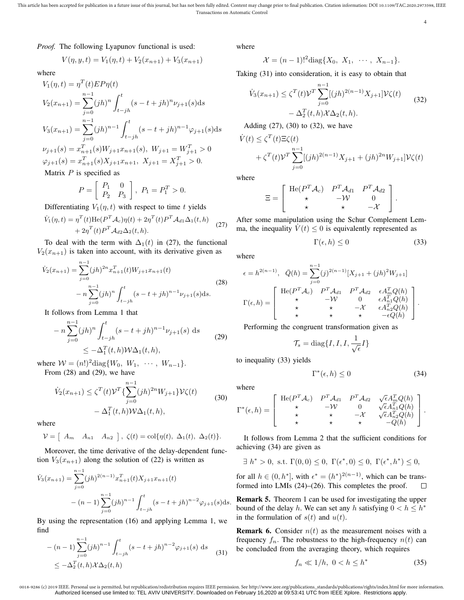#### *Proof.* The following Lyapunov functional is used:

$$
V(\eta, y, t) = V_1(\eta, t) + V_2(x_{n+1}) + V_3(x_{n+1})
$$

where

$$
V_1(\eta, t) = \eta^T(t) E P \eta(t)
$$
  
\n
$$
V_2(x_{n+1}) = \sum_{j=0}^{n-1} (jh)^n \int_{t-jh}^t (s - t + jh)^n \nu_{j+1}(s) ds
$$
  
\n
$$
V_3(x_{n+1}) = \sum_{j=0}^{n-1} (jh)^{n-1} \int_{t-jh}^t (s - t + jh)^{n-1} \varphi_{j+1}(s) ds
$$
  
\n
$$
\nu_{j+1}(s) = x_{n+1}^T(s) W_{j+1} x_{n+1}(s), W_{j+1} = W_{j+1}^T > 0
$$
  
\n
$$
\varphi_{j+1}(s) = x_{n+1}^T(s) X_{j+1} x_{n+1}, X_{j+1} = X_{j+1}^T > 0.
$$
  
\nMatrix, *D* is considered as

Matrix *P* is specified as

$$
P = \begin{bmatrix} P_1 & 0 \\ P_2 & P_3 \end{bmatrix}, \ P_1 = P_1^T > 0.
$$

Differentiating  $V_1(\eta, t)$  with respect to time *t* yields

$$
\dot{V}_1(\eta, t) = \eta^T(t) \text{He}(P^T \mathcal{A}_c) \eta(t) + 2\eta^T(t) P^T \mathcal{A}_{d1} \Delta_1(t, h) + 2\eta^T(t) P^T \mathcal{A}_{d2} \Delta_2(t, h).
$$
\n(27)

To deal with the term with  $\Delta_1(t)$  in (27), the functional  $V_2(x_{n+1})$  is taken into account, with its derivative given as

$$
\dot{V}_2(x_{n+1}) = \sum_{j=0}^{n-1} (jh)^{2n} x_{n+1}^T(t) W_{j+1} x_{n+1}(t)
$$
\n
$$
- n \sum_{j=0}^{n-1} (jh)^n \int_{t-jh}^t (s-t+jh)^{n-1} \nu_{j+1}(s) \, ds.
$$
\n(28)

It follows from Lemma 1 that

$$
-n\sum_{j=0}^{n-1} (jh)^n \int_{t-jh}^t (s-t+jh)^{n-1} \nu_{j+1}(s) \, ds
$$
  
 
$$
\leq -\Delta_1^T(t,h) \mathcal{W}\Delta_1(t,h), \tag{29}
$$

where  $W = (n!)^2 \text{diag}\{W_0, W_1, \cdots, W_{n-1}\}.$ From (28) and (29), we have

$$
\dot{V}_2(x_{n+1}) \le \zeta^T(t) \mathcal{V}^T \{ \sum_{j=0}^{n-1} (jh)^{2n} W_{j+1} \} \mathcal{V} \zeta(t) \n- \Delta_1^T(t, h) \mathcal{W} \Delta_1(t, h),
$$
\n(30)

where

$$
\mathcal{V} = [A_m \ A_{n1} \ A_{n2}], \ \zeta(t) = \text{col}\{\eta(t), \ \Delta_1(t), \ \Delta_2(t)\}.
$$

Moreover, the time derivative of the delay-dependent function  $V_3(x_{n+1})$  along the solution of (22) is written as

$$
\dot{V}_3(x_{n+1}) = \sum_{j=0}^{n-1} (jh)^{2(n-1)} x_{n+1}^T(t) X_{j+1} x_{n+1}(t)
$$

$$
- (n-1) \sum_{j=0}^{n-1} (jh)^{n-1} \int_{t-jh}^t (s-t+jh)^{n-2} \varphi_{j+1}(s) ds.
$$

By using the representation (16) and applying Lemma 1, we find

$$
-(n-1)\sum_{j=0}^{n-1} (jh)^{n-1} \int_{t-jh}^{t} (s-t+jh)^{n-2} \varphi_{j+1}(s) ds
$$
  
 
$$
\leq -\Delta_2^T(t,h) \chi \Delta_2(t,h)
$$
 (31)

where

$$
\mathcal{X} = (n-1)!^2 \text{diag}\{X_0, X_1, \cdots, X_{n-1}\}.
$$

Taking (31) into consideration, it is easy to obtain that

$$
\dot{V}_3(x_{n+1}) \le \zeta^T(t) \mathcal{V}^T \sum_{j=0}^{n-1} [(jh)^{2(n-1)} X_{j+1}] \mathcal{V} \zeta(t) \n- \Delta_2^T(t, h) \mathcal{X} \Delta_2(t, h).
$$
\n(32)

Adding (27), (30) to (32), we have

$$
(t) \le \zeta^{T}(t)\Xi\zeta(t)
$$
  
+  $\zeta^{T}(t)\mathcal{V}^{T}\sum_{j=0}^{n-1}[(jh)^{2(n-1)}X_{j+1} + (jh)^{2n}W_{j+1}]\mathcal{V}\zeta(t)$ 

where

*V*˙ (*t*) *≤ ζ*

$$
\Xi = \left[ \begin{array}{ccc} \text{He}(P^T \mathcal{A}_c) & P^T \mathcal{A}_{d1} & P^T \mathcal{A}_{d2} \\ \star & -\mathcal{W} & 0 \\ \star & \star & -\mathcal{X} \end{array} \right].
$$

After some manipulation using the Schur Complement Lemma, the inequality  $\dot{V}(t) \leq 0$  is equivalently represented as

$$
\Gamma(\epsilon, h) \le 0 \tag{33}
$$

4

where

$$
\epsilon = h^{2(n-1)}, \quad \bar{Q}(h) = \sum_{j=0}^{n-1} (j)^{2(n-1)} [X_{j+1} + (jh)^2 W_{j+1}]
$$

$$
\Gamma(\epsilon, h) = \begin{bmatrix} \text{He}(P^T A_c) & P^T A_{d1} & P^T A_{d2} & \epsilon A_m^T Q(h) \\ \star & -\mathcal{W} & 0 & \epsilon A_m^T Q(h) \\ \star & \star & -\mathcal{X} & \epsilon A_m^T Q(h) \\ \star & \star & \star & -\epsilon Q(h) \end{bmatrix}.
$$

Performing the congruent transformation given as

$$
\mathcal{T}_s = \text{diag}\{I, I, I, \frac{1}{\sqrt{\epsilon}}I\}
$$

to inequality (33) yields

$$
\Gamma^*(\epsilon, h) \le 0 \tag{34}
$$

where

$$
\Gamma^*(\epsilon, h) = \begin{bmatrix} \text{He}(P^T \mathcal{A}_c) & P^T \mathcal{A}_{d1} & P^T \mathcal{A}_{d2} & \sqrt{\epsilon} A_m^T Q(h) \\ \star & -\mathcal{W} & 0 & \sqrt{\epsilon} A_{n1}^T Q(h) \\ \star & \star & -\mathcal{X} & \sqrt{\epsilon} A_{n2}^T Q(h) \\ \star & \star & \star & -Q(h) \end{bmatrix}.
$$

It follows from Lemma 2 that the sufficient conditions for achieving (34) are given as

$$
\exists \ h^* > 0, \ \text{s.t.} \ \Gamma(0,0) \leq 0, \ \Gamma(\epsilon^*,0) \leq 0, \ \Gamma(\epsilon^*,h^*) \leq 0,
$$

for all  $h \in (0, h^*]$ , with  $\epsilon^* = (h^*)^{2(n-1)}$ , which can be transformed into LMIs (24)–(26). This completes the proof.  $\Box$ 

Remark 5. Theorem 1 can be used for investigating the upper bound of the delay *h*. We can set any *h* satisfying  $0 < h \leq h^*$ in the formulation of  $s(t)$  and  $u(t)$ .

**Remark 6.** Consider  $n(t)$  as the measurement noises with a frequency  $f_n$ . The robustness to the high-frequency  $n(t)$  can be concluded from the averaging theory, which requires

$$
f_n \ll 1/h, \ 0 < h \le h^* \tag{35}
$$

0018-9286 (c) 2019 IEEE. Personal use is permitted, but republication/redistribution requires IEEE permission. See http://www.ieee.org/publications\_standards/publications/rights/index.html for more information. Authorized licensed use limited to: TEL AVIV UNIVERSITY. Downloaded on February 16,2020 at 09:53:41 UTC from IEEE Xplore. Restrictions apply.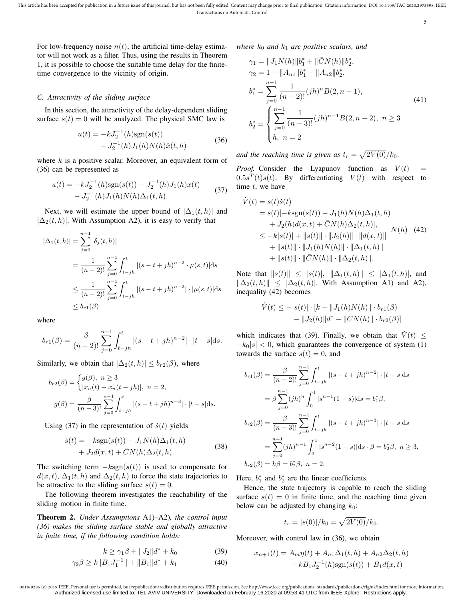5

For low-frequency noise  $n(t)$ , the artificial time-delay estimator will not work as a filter. Thus, using the results in Theorem 1, it is possible to choose the suitable time delay for the finitetime convergence to the vicinity of origin.

## *C. Attractivity of the sliding surface*

In this section, the attractivity of the delay-dependent sliding surface  $s(t) = 0$  will be analyzed. The physical SMC law is

$$
u(t) = -kJ_2^{-1}(h)\text{sgn}(s(t)) - J_2^{-1}(h)J_1(h)N(h)\hat{x}(t,h)
$$
 (36)

where *k* is a positive scalar. Moreover, an equivalent form of (36) can be represented as

$$
u(t) = -kJ_2^{-1}(h)\text{sgn}(s(t)) - J_2^{-1}(h)J_1(h)x(t)
$$
  
-  $J_2^{-1}(h)J_1(h)N(h)\Delta_1(t, h).$  (37)

Next, we will estimate the upper bound of  $|\Delta_1(t, h)|$  and  $|\Delta_2(t, h)|$ . With Assumption A2), it is easy to verify that

$$
|\Delta_1(t, h)| = \sum_{j=0}^{n-1} |\delta_j(t, h)|
$$
  
= 
$$
\frac{1}{(n-2)!} \sum_{j=0}^{n-1} \int_{t-jh}^t |(s-t+jh)^{n-2} \cdot \mu(s, t)| ds
$$
  

$$
\leq \frac{1}{(n-2)!} \sum_{j=0}^{n-1} \int_{t-jh}^t |(s-t+jh)^{n-2}| \cdot |\mu(s, t)| ds
$$
  

$$
\leq b_{r1}(\beta)
$$

where

$$
b_{r1}(\beta) = \frac{\beta}{(n-2)!} \sum_{j=0}^{n-1} \int_{t-jh}^{t} |(s-t+jh)^{n-2}| \cdot |t-s| \, ds.
$$

Similarly, we obtain that  $|\Delta_2(t, h)| \leq b_{r2}(\beta)$ , where

$$
b_{r2}(\beta) = \begin{cases} g(\beta), & n \ge 3\\ |x_n(t) - x_n(t - jh)|, & n = 2, \end{cases}
$$

$$
g(\beta) = \frac{\beta}{(n-3)!} \sum_{j=0}^{n-1} \int_{t-jh}^{t} |(s - t + jh)^{n-3}| \cdot |t - s| \, ds.
$$

Using (37) in the representation of  $\dot{s}(t)$  yields

$$
\begin{aligned} \dot{s}(t) &= -k \text{sgn}(s(t)) - J_1 N(h) \Delta_1(t, h) \\ &+ J_2 d(x, t) + \bar{C} N(h) \Delta_2(t, h). \end{aligned} \tag{38}
$$

The switching term *−k*sgn(*s*(*t*)) is used to compensate for  $d(x, t)$ ,  $\Delta_1(t, h)$  and  $\Delta_2(t, h)$  to force the state trajectories to be attractive to the sliding surface  $s(t) = 0$ .

The following theorem investigates the reachability of the sliding motion in finite time.

Theorem 2. *Under Assumptions* A1)–A2)*, the control input (36) makes the sliding surface stable and globally attractive in finite time, if the following condition holds:*

$$
k \ge \gamma_1 \beta + \|J_2\| d^* + k_0 \tag{39}
$$

$$
\gamma_2 \beta \ge k \| B_1 J_1^{-1} \| + \| B_1 \| d^* + k_1 \tag{40}
$$

*where*  $k_0$  *and*  $k_1$  *are positive scalars, and* 

$$
\gamma_1 = ||J_1N(h)||b_1^* + ||\bar{C}N(h)||b_2^*,
$$
  
\n
$$
\gamma_2 = 1 - ||A_{n1}||b_1^* - ||A_{n2}||b_2^*,
$$
  
\n
$$
b_1^* = \sum_{j=0}^{n-1} \frac{1}{(n-2)!} (jh)^n B(2, n-1),
$$
  
\n
$$
b_2^* = \begin{cases} \sum_{j=0}^{n-1} \frac{1}{(n-3)!} (jh)^{n-1} B(2, n-2), & n \ge 3 \\ h, & n = 2 \end{cases}
$$
\n(41)

*and the reaching time is given as*  $t_r = \sqrt{2V(0)}/k_0$ *.* 

*Proof.* Consider the Lyapunov function as  $V(t)$  =  $0.5s^T(t)s(t)$ . By differentiating  $V(t)$  with respect to time *t*, we have

$$
\dot{V}(t) = s(t)\dot{s}(t) \n= s(t)[-\text{ksgn}(s(t)) - J_1(h)N(h)\Delta_1(t, h) \n+ J_2(h)d(x, t) + \bar{C}N(h)\Delta_2(t, h)], \quad N(h) \quad (42) \n\le -k|s(t)| + ||s(t)|| \cdot ||J_2(h)|| \cdot ||d(x, t)|| \n+ ||s(t)|| \cdot ||J_1(h)N(h)|| \cdot ||\Delta_1(t, h)|| \n+ ||s(t)|| \cdot ||\bar{C}N(h)|| \cdot ||\Delta_2(t, h)||.
$$

Note that  $||s(t)|| \leq |s(t)|$ ,  $||\Delta_1(t, h)|| \leq |\Delta_1(t, h)|$ , and  $||\Delta_2(t, h)|| \leq |\Delta_2(t, h)|$ . With Assumption A1) and A2), inequality (42) becomes

$$
\dot{V}(t) \le -|s(t)| \cdot [k - ||J_1(h)N(h)|| \cdot b_{r1}(\beta) \n- ||J_2(h)||d^* - ||\bar{C}N(h)|| \cdot b_{r2}(\beta)]
$$

which indicates that (39). Finally, we obtain that  $\dot{V}(t)$  < *−k*0*|s| <* 0*,* which guarantees the convergence of system (1) towards the surface  $s(t) = 0$ , and

$$
b_{r1}(\beta) = \frac{\beta}{(n-2)!} \sum_{j=0}^{n-1} \int_{t-jh}^{t} |(s-t+jh)^{n-2}| \cdot |t-s| ds
$$
  

$$
= \beta \sum_{j=0}^{n-1} (jh)^n \int_0^1 |s^{n-1}(1-s)| ds = b_1^* \beta,
$$
  

$$
b_{r2}(\beta) = \frac{\beta}{(n-3)!} \sum_{j=0}^{n-1} \int_{t-jh}^t |(s-t+jh)^{n-3}| \cdot |t-s| ds
$$
  

$$
= \sum_{j=0}^{n-1} (jh)^{n-1} \int_0^1 |s^{n-2}(1-s)| ds \cdot \beta = b_2^* \beta, \ n \ge 3,
$$
  

$$
b_{r2}(\beta) = h\beta = b_2^* \beta, \ n = 2.
$$

Here,  $b_1^*$  and  $b_2^*$  are the linear coefficients.

Hence, the state trajectory is capable to reach the sliding surface  $s(t) = 0$  in finite time, and the reaching time given below can be adjusted by changing  $k_0$ :

$$
t_r = |s(0)|/k_0 = \sqrt{2V(0)}/k_0.
$$

Moreover, with control law in (36), we obtain

$$
x_{n+1}(t) = A_m \eta(t) + A_{n1} \Delta_1(t, h) + A_{n2} \Delta_2(t, h)
$$

$$
- k B_1 J_2^{-1}(h) \text{sgn}(s(t)) + B_1 d(x, t)
$$

0018-9286 (c) 2019 IEEE. Personal use is permitted, but republication/redistribution requires IEEE permission. See http://www.ieee.org/publications\_standards/publications/rights/index.html for more information. Authorized licensed use limited to: TEL AVIV UNIVERSITY. Downloaded on February 16,2020 at 09:53:41 UTC from IEEE Xplore. Restrictions apply.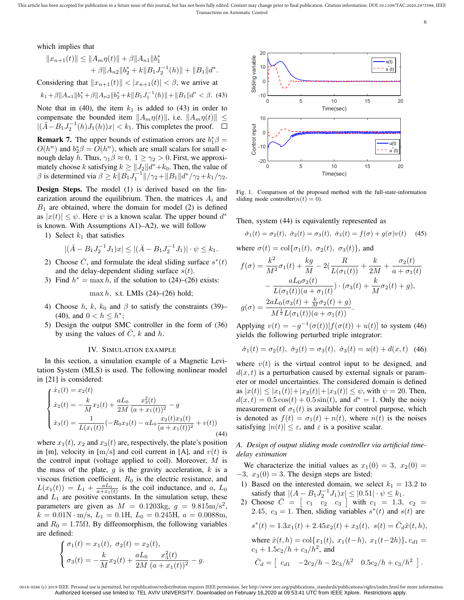which implies that

$$
||x_{n+1}(t)|| \le ||A_m \eta(t)|| + \beta ||A_{n1}||b_1^*
$$
  
+  $\beta ||A_{n2}||b_2^* + k ||B_1 J_2^{-1}(h)|| + ||B_1||d^*.$ 

Considering that  $||x_{n+1}(t)|| < |x_{n+1}(t)| < \beta$ , we arrive at

$$
k_1 + \beta ||A_{n1}||b_1^* + \beta ||A_{n2}||b_2^* + k||B_1J_1^{-1}(h)|| + ||B_1||d^* < \beta.
$$
 (43)

Note that in (40), the item  $k_1$  is added to (43) in order to compensate the bounded item  $||A_m\eta(t)||$ , i.e.  $||A_m\eta(t)|| \le$  $|(A - B_1 J_2^{-1}(h) J_1(h))x| < k_1$ . This completes the proof.  $\Box$ 

**Remark 7.** The upper bounds of estimation errors are  $b_1^* \beta =$  $O(h^n)$  and  $b_2^* \beta = O(h^n)$ , which are small scalars for small enough delay *h*. Thus,  $\gamma_1 \beta \approx 0$ ,  $1 \geq \gamma_2 > 0$ . First, we approximately choose *k* satisfying  $k \geq ||J_2||d^* + k_0$ . Then, the value of *β* is determined via  $β ≥ k||B_1J_1^{-1}||/γ_2 + ||B_1||d^*/γ_2 + k_1/γ_2$ .

Design Steps. The model (1) is derived based on the linearization around the equilibrium. Then, the matrices *A<sup>i</sup>* and  $B_1$  are obtained, where the domain for model (2) is defined as  $|x(t)| \leq \psi$ . Here  $\psi$  is a known scalar. The upper bound  $d^*$ is known. With Assumptions A1)–A2), we will follow

1) Select  $k_1$  that satisfies

$$
|(\bar{A}-B_1J_2^{-1}J_1)x|\le |(\bar{A}-B_1J_2^{-1}J_1)|\cdot \psi\le k_1.
$$

- 2) Choose  $\overline{C}$ , and formulate the ideal sliding surface  $s^*(t)$ and the delay-dependent sliding surface *s*(*t*).
- 3) Find  $h^* = \max h$ , if the solution to (24)–(26) exists:

max *h,* s.t. LMIs (24)–(26) hold;

- 4) Choose  $h$ ,  $k$ ,  $k_0$  and  $\beta$  to satisfy the constraints (39)– (40), and  $0 < h \leq h^*$ ;
- 5) Design the output SMC controller in the form of (36) by using the values of  $\overline{C}$ ,  $k$  and  $h$ .

## IV. SIMULATION EXAMPLE

In this section, a simulation example of a Magnetic Levitation System (MLS) is used. The following nonlinear model in [21] is considered:

$$
\begin{cases}\n\dot{x}_1(t) = x_2(t) \\
\dot{x}_2(t) = -\frac{k}{M}x_2(t) + \frac{aL_0}{2M} \frac{x_3^2(t)}{(a+x_1(t))^2} - g \\
\dot{x}_3(t) = \frac{1}{L(x_1(t))}(-R_0x_3(t) - aL_0 \frac{x_2(t)x_3(t)}{(a+x_1(t))^2} + v(t))\n\end{cases}
$$
\n(44)

where  $x_1(t)$ ,  $x_2$  and  $x_3(t)$  are, respectively, the plate's position in [m], velocity in  $[m/s]$  and coil current in [A], and  $v(t)$  is the control input (voltage applied to coil). Moreover, *M* is the mass of the plate,  $g$  is the gravity acceleration,  $k$  is a viscous friction coefficient,  $R_0$  is the electric resistance, and  $L(x_1(t)) = L_1 + \frac{aL_0}{a+x_1(t)}$  is the coil inductance, and *a*,  $L_0$ and  $L_1$  are positive constants. In the simulation setup, these parameters are given as  $M = 0.1203$ kg,  $g = 9.815$ m/s<sup>2</sup>,  $k = 0.01$ N · m/s,  $L_1 = 0.1$ H,  $L_0 = 0.245$ H,  $a = 0.0088$ m, and  $R_0 = 1.75\Omega$ . By diffeomorphism, the following variables are defined:

$$
\begin{cases}\n\sigma_1(t) = x_1(t), \ \sigma_2(t) = x_2(t), \\
\sigma_3(t) = -\frac{k}{M}x_2(t) + \frac{aL_0}{2M} \frac{x_3^2(t)}{(a+x_1(t))^2} - g.\n\end{cases}
$$



Fig. 1. Comparison of the proposed method with the full-state-information sliding mode controller $(n(t) = 0)$ .

Then, system (44) is equivalently represented as

$$
\dot{\sigma}_1(t) = \sigma_2(t), \ \dot{\sigma}_2(t) = \sigma_3(t), \ \dot{\sigma}_3(t) = f(\sigma) + g(\sigma)v(t) \quad (45)
$$

where  $\sigma(t) = \text{col}\{\sigma_1(t), \sigma_2(t), \sigma_3(t)\}\$ , and

$$
f(\sigma) = \frac{k^2}{M^2} \sigma_1(t) + \frac{kg}{M} - 2\left(\frac{R}{L(\sigma_1(t))} + \frac{k}{2M} + \frac{\sigma_2(t)}{a + \sigma_1(t)}\right)
$$

$$
- \frac{aL_0\sigma_2(t)}{L(\sigma_1(t))(a + \sigma_1(t))} \cdot (\sigma_3(t) + \frac{k}{M}\sigma_2(t) + g),
$$

$$
g(\sigma) = \frac{2aL_0(\sigma_3(t) + \frac{k}{M}\sigma_2(t) + g)}{M^{\frac{1}{2}}L(\sigma_1(t))(a + \sigma_1(t))}.
$$

Applying  $v(t) = -g^{-1}(\sigma(t))[f(\sigma(t)) + u(t)]$  to system (46) yields the following perturbed triple integrator:

$$
\dot{\sigma}_1(t) = \sigma_2(t), \ \dot{\sigma}_2(t) = \sigma_3(t), \ \dot{\sigma}_3(t) = u(t) + d(x, t) \tag{46}
$$

where  $v(t)$  is the virtual control input to be designed, and  $d(x, t)$  is a perturbation caused by external signals or parameter or model uncertainties. The considered domain is defined as  $|x(t)| \le |x_1(t)| + |x_2(t)| + |x_3(t)| \le \psi$ , with  $\psi = 20$ . Then,  $d(x, t) = 0.5 \cos(t) + 0.5 \sin(t)$ , and  $d^* = 1$ . Only the noisy measurement of  $\sigma_1(t)$  is available for control purpose, which is denoted as  $f(t) = \sigma_1(t) + n(t)$ , where  $n(t)$  is the noises satisfying  $|n(t)| \leq \varepsilon$ , and  $\varepsilon$  is a positive scalar.

## *A. Design of output sliding mode controller via artificial timedelay estimation*

We characterize the initial values as  $x_1(0) = 3$ ,  $x_2(0) = 1$ *−*3*, x*<sub>3</sub>(0) = 3. The design steps are listed:

- 1) Based on the interested domain, we select  $k_1 = 13.2$  to satisfy that  $|(A - B_1 J_2^{-1} J_1)x| \leq |0.51| \cdot \psi \leq k_1$ .
- 2) Choose  $\bar{C} = \begin{bmatrix} c_1 & c_2 & c_3 \end{bmatrix}$  with  $c_1 = 1.3$ ,  $c_2 =$ 2.45*,*  $c_3 = 1$ . Then, sliding variables  $s^*(t)$  and  $s(t)$  are

$$
s^*(t) = 1.3x_1(t) + 2.45x_2(t) + x_3(t), \ s(t) = \bar{C}_d\hat{x}(t, h),
$$

 $\hat{x}(t, h) = \text{col}\{x_1(t), x_1(t-h), x_1(t-2h)\}, c_{d1} =$  $c_1 + 1.5c_2/h + c_3/h^2$ , and

$$
\bar{C}_d = \left[ \begin{array}{cc} c_{d1} & -2c_2/h - 2c_3/h^2 & 0.5c_2/h + c_3/h^2 \end{array} \right].
$$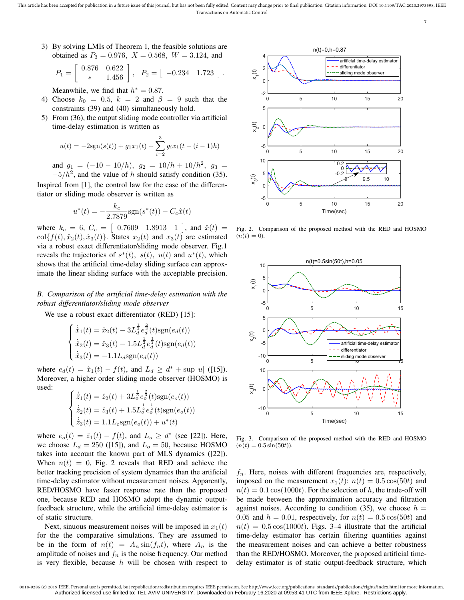3) By solving LMIs of Theorem 1, the feasible solutions are obtained as  $P_3 = 0.976$ ,  $X = 0.568$ ,  $W = 3.124$ , and

$$
P_1 = \left[ \begin{array}{cc} 0.876 & 0.622 \\ * & 1.456 \end{array} \right], \quad P_2 = \left[ \begin{array}{cc} -0.234 & 1.723 \end{array} \right].
$$

Meanwhile, we find that  $h^* = 0.87$ .

- 4) Choose  $k_0 = 0.5$ ,  $k = 2$  and  $\beta = 9$  such that the constraints (39) and (40) simultaneously hold.
- 5) From (36), the output sliding mode controller via artificial time-delay estimation is written as

$$
u(t) = -2\text{sgn}(s(t)) + g_1 x_1(t) + \sum_{i=2}^{3} g_i x_1(t - (i-1)h)
$$

and  $g_1 = (-10 - 10/h)$ ,  $g_2 = 10/h + 10/h^2$ ,  $g_3 =$ *−*5*/h*<sup>2</sup> , and the value of *h* should satisfy condition (35).

Inspired from [1], the control law for the case of the differentiator or sliding mode observer is written as

$$
u^*(t) = -\frac{k_c}{2.7879} \text{sgn}(s^*(t)) - C_c \hat{x}(t)
$$

where  $k_c = 6$ ,  $C_c = [0.7609 \quad 1.8913 \quad 1]$ , and  $\hat{x}(t) =$  $\text{col}\lbrace f(t), \hat{x}_2(t), \hat{x}_3(t) \rbrace$ . States  $x_2(t)$  and  $x_3(t)$  are estimated via a robust exact differentiator/sliding mode observer. Fig.1 reveals the trajectories of  $s^*(t)$ ,  $s(t)$ ,  $u(t)$  and  $u^*(t)$ , which shows that the artificial time-delay sliding surface can approximate the linear sliding surface with the acceptable precision.

#### *B. Comparison of the artificial time-delay estimation with the robust differentiator/sliding mode observer*

We use a robust exact differentiator (RED) [15]:

$$
\begin{cases} \n\dot{\hat{x}}_1(t) = \hat{x}_2(t) - 3L_d^{\frac{1}{3}} e_d^{\frac{2}{3}}(t) \text{sgn}(e_d(t)) \\
\dot{\hat{x}}_2(t) = \hat{x}_3(t) - 1.5L_d^{\frac{1}{2}} e_d^{\frac{1}{2}}(t) \text{sgn}(e_d(t)) \\
\dot{\hat{x}}_3(t) = -1.1L_d \text{sgn}(e_d(t))\n\end{cases}
$$

where  $e_d(t) = \hat{x}_1(t) - f(t)$ , and  $L_d \ge d^* + \sup |u|$  ([15]). Moreover, a higher order sliding mode observer (HOSMO) is used:

$$
\begin{cases} \dot{\hat{z}}_1(t) = \hat{z}_2(t) + 3L_o^{\frac{1}{3}} e_o^{\frac{2}{3}}(t) \text{sgn}(e_o(t)) \\ \dot{\hat{z}}_2(t) = \hat{z}_3(t) + 1.5L_o^{\frac{1}{2}} e_o^{\frac{1}{2}}(t) \text{sgn}(e_o(t)) \\ \dot{\hat{z}}_3(t) = 1.1L_o \text{sgn}(e_o(t)) + u^*(t) \end{cases}
$$

where  $e_o(t) = \hat{z}_1(t) - f(t)$ , and  $L_o \ge d^*$  (see [22]). Here, we choose  $L_d = 250$  ([15]), and  $L_o = 50$ , because HOSMO takes into account the known part of MLS dynamics ([22]). When  $n(t) = 0$ , Fig. 2 reveals that RED and achieve the better tracking precision of system dynamics than the artificial time-delay estimator without measurement noises. Apparently, RED/HOSMO have faster response rate than the proposed one, because RED and HOSMO adopt the dynamic outputfeedback structure, while the artificial time-delay estimator is of static structure.

Next, sinuous measurement noises will be imposed in  $x_1(t)$ for the the comparative simulations. They are assumed to be in the form of  $n(t) = A_n \sin(f_n t)$ , where  $A_n$  is the amplitude of noises and  $f_n$  is the noise frequency. Our method is very flexible, because *h* will be chosen with respect to



7

Fig. 2. Comparison of the proposed method with the RED and HOSMO  $(n(t) = 0).$ 



Fig. 3. Comparison of the proposed method with the RED and HOSMO  $(n(t) = 0.5 \sin(50t)).$ 

 $f_n$ . Here, noises with different frequencies are, respectively, imposed on the measurement  $x_1(t)$ :  $n(t) = 0.5 \cos(50t)$  and  $n(t) = 0.1 \cos(1000t)$ . For the selection of *h*, the trade-off will be made between the approximation accuracy and filtration against noises. According to condition  $(35)$ , we choose  $h =$ 0.05 and  $h = 0.01$ , respectively, for  $n(t) = 0.5 \cos(50t)$  and  $n(t) = 0.5 \cos(1000t)$ . Figs. 3–4 illustrate that the artificial time-delay estimator has certain filtering quantities against the measurement noises and can achieve a better robustness than the RED/HOSMO. Moreover, the proposed artificial timedelay estimator is of static output-feedback structure, which